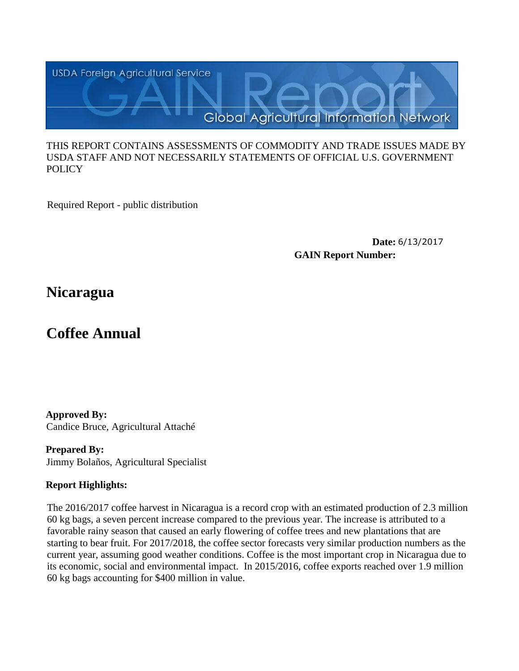

#### THIS REPORT CONTAINS ASSESSMENTS OF COMMODITY AND TRADE ISSUES MADE BY USDA STAFF AND NOT NECESSARILY STATEMENTS OF OFFICIAL U.S. GOVERNMENT **POLICY**

Required Report - public distribution

**Date:** 6/13/2017 **GAIN Report Number:**

## **Nicaragua**

# **Coffee Annual**

**Approved By:**  Candice Bruce, Agricultural Attaché

**Prepared By:**  Jimmy Bolaños, Agricultural Specialist

## **Report Highlights:**

The 2016/2017 coffee harvest in Nicaragua is a record crop with an estimated production of 2.3 million 60 kg bags, a seven percent increase compared to the previous year. The increase is attributed to a favorable rainy season that caused an early flowering of coffee trees and new plantations that are starting to bear fruit. For 2017/2018, the coffee sector forecasts very similar production numbers as the current year, assuming good weather conditions. Coffee is the most important crop in Nicaragua due to its economic, social and environmental impact. In 2015/2016, coffee exports reached over 1.9 million 60 kg bags accounting for \$400 million in value.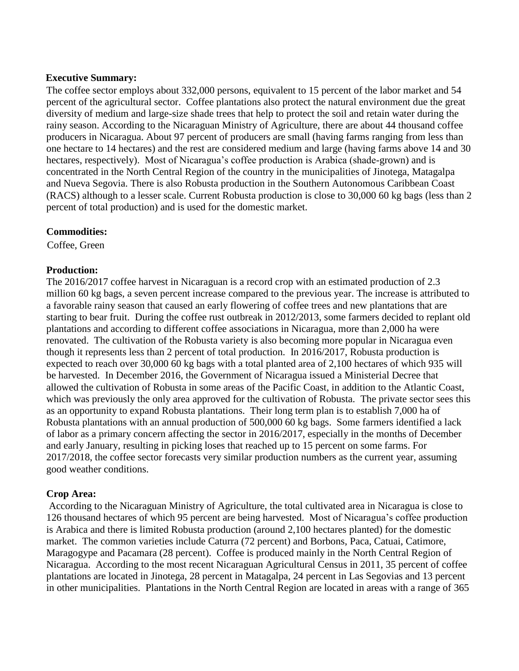### **Executive Summary:**

The coffee sector employs about 332,000 persons, equivalent to 15 percent of the labor market and 54 percent of the agricultural sector. Coffee plantations also protect the natural environment due the great diversity of medium and large-size shade trees that help to protect the soil and retain water during the rainy season. According to the Nicaraguan Ministry of Agriculture, there are about 44 thousand coffee producers in Nicaragua. About 97 percent of producers are small (having farms ranging from less than one hectare to 14 hectares) and the rest are considered medium and large (having farms above 14 and 30 hectares, respectively). Most of Nicaragua's coffee production is Arabica (shade-grown) and is concentrated in the North Central Region of the country in the municipalities of Jinotega, Matagalpa and Nueva Segovia. There is also Robusta production in the Southern Autonomous Caribbean Coast (RACS) although to a lesser scale. Current Robusta production is close to 30,000 60 kg bags (less than 2 percent of total production) and is used for the domestic market.

## **Commodities:**

Coffee, Green

## **Production:**

The 2016/2017 coffee harvest in Nicaraguan is a record crop with an estimated production of 2.3 million 60 kg bags, a seven percent increase compared to the previous year. The increase is attributed to a favorable rainy season that caused an early flowering of coffee trees and new plantations that are starting to bear fruit. During the coffee rust outbreak in 2012/2013, some farmers decided to replant old plantations and according to different coffee associations in Nicaragua, more than 2,000 ha were renovated. The cultivation of the Robusta variety is also becoming more popular in Nicaragua even though it represents less than 2 percent of total production. In 2016/2017, Robusta production is expected to reach over 30,000 60 kg bags with a total planted area of 2,100 hectares of which 935 will be harvested. In December 2016, the Government of Nicaragua issued a Ministerial Decree that allowed the cultivation of Robusta in some areas of the Pacific Coast, in addition to the Atlantic Coast, which was previously the only area approved for the cultivation of Robusta. The private sector sees this as an opportunity to expand Robusta plantations. Their long term plan is to establish 7,000 ha of Robusta plantations with an annual production of 500,000 60 kg bags. Some farmers identified a lack of labor as a primary concern affecting the sector in 2016/2017, especially in the months of December and early January, resulting in picking loses that reached up to 15 percent on some farms. For 2017/2018, the coffee sector forecasts very similar production numbers as the current year, assuming good weather conditions.

## **Crop Area:**

According to the Nicaraguan Ministry of Agriculture, the total cultivated area in Nicaragua is close to 126 thousand hectares of which 95 percent are being harvested. Most of Nicaragua's coffee production is Arabica and there is limited Robusta production (around 2,100 hectares planted) for the domestic market. The common varieties include Caturra (72 percent) and Borbons, Paca, Catuai, Catimore, Maragogype and Pacamara (28 percent). Coffee is produced mainly in the North Central Region of Nicaragua. According to the most recent Nicaraguan Agricultural Census in 2011, 35 percent of coffee plantations are located in Jinotega, 28 percent in Matagalpa, 24 percent in Las Segovias and 13 percent in other municipalities. Plantations in the North Central Region are located in areas with a range of 365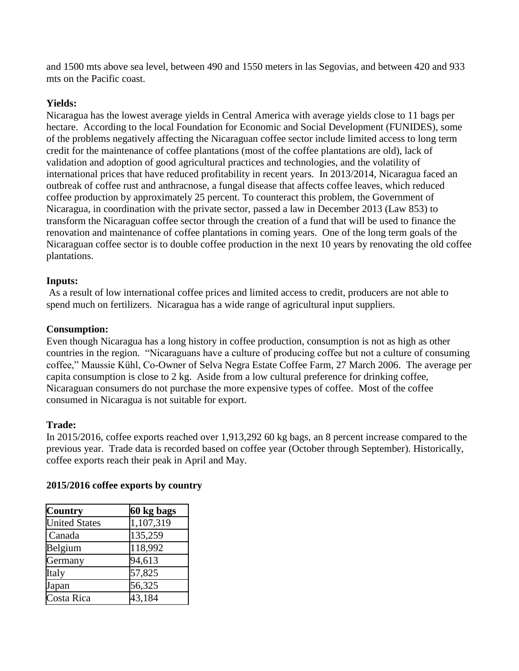and 1500 mts above sea level, between 490 and 1550 meters in las Segovias, and between 420 and 933 mts on the Pacific coast.

## **Yields:**

Nicaragua has the lowest average yields in Central America with average yields close to 11 bags per hectare. According to the local Foundation for Economic and Social Development (FUNIDES), some of the problems negatively affecting the Nicaraguan coffee sector include limited access to long term credit for the maintenance of coffee plantations (most of the coffee plantations are old), lack of validation and adoption of good agricultural practices and technologies, and the volatility of international prices that have reduced profitability in recent years. In 2013/2014, Nicaragua faced an outbreak of coffee rust and anthracnose, a fungal disease that affects coffee leaves, which reduced coffee production by approximately 25 percent. To counteract this problem, the Government of Nicaragua, in coordination with the private sector, passed a law in December 2013 (Law 853) to transform the Nicaraguan coffee sector through the creation of a fund that will be used to finance the renovation and maintenance of coffee plantations in coming years. One of the long term goals of the Nicaraguan coffee sector is to double coffee production in the next 10 years by renovating the old coffee plantations.

## **Inputs:**

As a result of low international coffee prices and limited access to credit, producers are not able to spend much on fertilizers. Nicaragua has a wide range of agricultural input suppliers.

## **Consumption:**

Even though Nicaragua has a long history in coffee production, consumption is not as high as other countries in the region. "Nicaraguans have a culture of producing coffee but not a culture of consuming coffee," Maussie Kühl, Co-Owner of Selva Negra Estate Coffee Farm, 27 March 2006. The average per capita consumption is close to 2 kg. Aside from a low cultural preference for drinking coffee, Nicaraguan consumers do not purchase the more expensive types of coffee. Most of the coffee consumed in Nicaragua is not suitable for export.

## **Trade:**

In 2015/2016, coffee exports reached over 1,913,292 60 kg bags, an 8 percent increase compared to the previous year. Trade data is recorded based on coffee year (October through September). Historically, coffee exports reach their peak in April and May.

| <b>Country</b>       | 60 kg bags |  |  |  |  |
|----------------------|------------|--|--|--|--|
| <b>United States</b> | 1,107,319  |  |  |  |  |
| Canada               | 135,259    |  |  |  |  |
| Belgium              | 118,992    |  |  |  |  |
| Germany              | 94,613     |  |  |  |  |
| Italy                | 57,825     |  |  |  |  |
| Japan                | 56,325     |  |  |  |  |
| Costa Rica           | 43,184     |  |  |  |  |

## **2015/2016 coffee exports by country**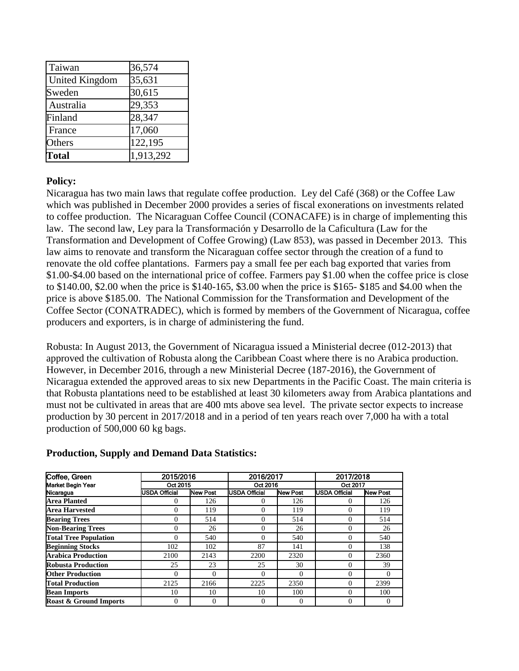| Taiwan                | 36,574    |
|-----------------------|-----------|
| <b>United Kingdom</b> | 35,631    |
| Sweden                | 30,615    |
| Australia             | 29,353    |
| Finland               | 28,347    |
| France                | 17,060    |
| Others                | 122,195   |
| <b>Total</b>          | 1,913,292 |

## **Policy:**

Nicaragua has two main laws that regulate coffee production. Ley del Café (368) or the Coffee Law which was published in December 2000 provides a series of fiscal exonerations on investments related to coffee production. The Nicaraguan Coffee Council (CONACAFE) is in charge of implementing this law. The second law, Ley para la Transformación y Desarrollo de la Caficultura (Law for the Transformation and Development of Coffee Growing) (Law 853), was passed in December 2013. This law aims to renovate and transform the Nicaraguan coffee sector through the creation of a fund to renovate the old coffee plantations. Farmers pay a small fee per each bag exported that varies from \$1.00-\$4.00 based on the international price of coffee. Farmers pay \$1.00 when the coffee price is close to \$140.00, \$2.00 when the price is \$140-165, \$3.00 when the price is \$165- \$185 and \$4.00 when the price is above \$185.00. The National Commission for the Transformation and Development of the Coffee Sector (CONATRADEC), which is formed by members of the Government of Nicaragua, coffee producers and exporters, is in charge of administering the fund.

Robusta: In August 2013, the Government of Nicaragua issued a Ministerial decree (012-2013) that approved the cultivation of Robusta along the Caribbean Coast where there is no Arabica production. However, in December 2016, through a new Ministerial Decree (187-2016), the Government of Nicaragua extended the approved areas to six new Departments in the Pacific Coast. The main criteria is that Robusta plantations need to be established at least 30 kilometers away from Arabica plantations and must not be cultivated in areas that are 400 mts above sea level. The private sector expects to increase production by 30 percent in 2017/2018 and in a period of ten years reach over 7,000 ha with a total production of 500,000 60 kg bags.

| Coffee, Green                     | 2015/2016<br>Oct 2015 |                 | 2016/2017<br>Oct 2016 |                 | 2017/2018<br>Oct 2017 |                 |
|-----------------------------------|-----------------------|-----------------|-----------------------|-----------------|-----------------------|-----------------|
| <b>Market Begin Year</b>          |                       |                 |                       |                 |                       |                 |
| Nicaragua                         | <b>USDA Official</b>  | <b>New Post</b> | <b>USDA Official</b>  | <b>New Post</b> | <b>USDA Official</b>  | <b>New Post</b> |
| <b>Area Planted</b>               | $\Omega$              | 126             |                       | 126             | 0                     | 126             |
| <b>Area Harvested</b>             | 0                     | 119             | $\Omega$              | 119             | 0                     | 119             |
| <b>Bearing Trees</b>              | $\Omega$              | 514             | $\Omega$              | 514             | 0                     | 514             |
| <b>Non-Bearing Trees</b>          | $\Omega$              | 26              | $\Omega$              | 26              | 0                     | 26              |
| <b>Total Tree Population</b>      | 0                     | 540             | $\Omega$              | 540             | 0                     | 540             |
| <b>Beginning Stocks</b>           | 102                   | 102             | 87                    | 141             | $\theta$              | 138             |
| <b>Arabica Production</b>         | 2100                  | 2143            | 2200                  | 2320            | 0                     | 2360            |
| <b>Robusta Production</b>         | 25                    | 23              | 25                    | 30              | $\theta$              | 39              |
| <b>Other Production</b>           | $\Omega$              | $\theta$        | $\Omega$              | $\Omega$        | 0                     | 0               |
| <b>Total Production</b>           | 2125                  | 2166            | 2225                  | 2350            | 0                     | 2399            |
| <b>Bean Imports</b>               | 10                    | 10              | 10                    | 100             | 0                     | 100             |
| <b>Roast &amp; Ground Imports</b> | 0                     | $\theta$        | $\Omega$              | $\Omega$        | 0                     | 0               |

#### **Production, Supply and Demand Data Statistics:**